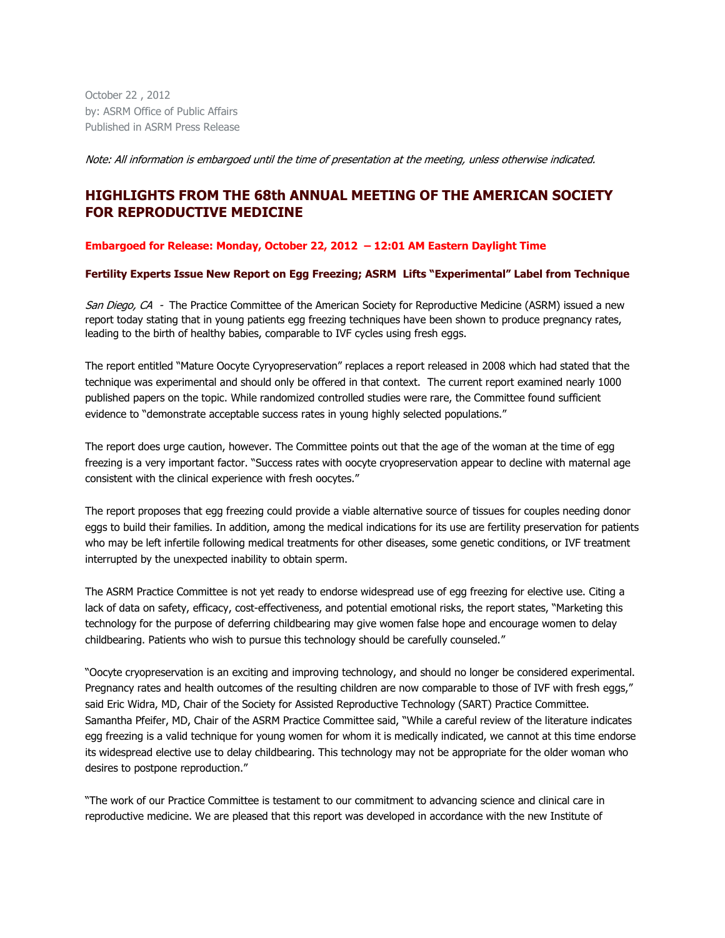October 22 , 2012 by: ASRM Office of Public Affairs Published in ASRM Press Release

Note: All information is embargoed until the time of presentation at the meeting, unless otherwise indicated.

## **HIGHLIGHTS FROM THE 68th ANNUAL MEETING OF THE AMERICAN SOCIETY FOR REPRODUCTIVE MEDICINE**

**Embargoed for Release: Monday, October 22, 2012 – 12:01 AM Eastern Daylight Time**

## **Fertility Experts Issue New Report on Egg Freezing; ASRM Lifts "Experimental" Label from Technique**

San Diego, CA - The Practice Committee of the American Society for Reproductive Medicine (ASRM) issued a new report today stating that in young patients egg freezing techniques have been shown to produce pregnancy rates, leading to the birth of healthy babies, comparable to IVF cycles using fresh eggs.

The report entitled "Mature Oocyte Cyryopreservation" replaces a report released in 2008 which had stated that the technique was experimental and should only be offered in that context. The current report examined nearly 1000 published papers on the topic. While randomized controlled studies were rare, the Committee found sufficient evidence to "demonstrate acceptable success rates in young highly selected populations."

The report does urge caution, however. The Committee points out that the age of the woman at the time of egg freezing is a very important factor. "Success rates with oocyte cryopreservation appear to decline with maternal age consistent with the clinical experience with fresh oocytes."

The report proposes that egg freezing could provide a viable alternative source of tissues for couples needing donor eggs to build their families. In addition, among the medical indications for its use are fertility preservation for patients who may be left infertile following medical treatments for other diseases, some genetic conditions, or IVF treatment interrupted by the unexpected inability to obtain sperm.

The ASRM Practice Committee is not yet ready to endorse widespread use of egg freezing for elective use. Citing a lack of data on safety, efficacy, cost-effectiveness, and potential emotional risks, the report states, "Marketing this technology for the purpose of deferring childbearing may give women false hope and encourage women to delay childbearing. Patients who wish to pursue this technology should be carefully counseled."

"Oocyte cryopreservation is an exciting and improving technology, and should no longer be considered experimental. Pregnancy rates and health outcomes of the resulting children are now comparable to those of IVF with fresh eggs," said Eric Widra, MD, Chair of the Society for Assisted Reproductive Technology (SART) Practice Committee. Samantha Pfeifer, MD, Chair of the ASRM Practice Committee said, "While a careful review of the literature indicates egg freezing is a valid technique for young women for whom it is medically indicated, we cannot at this time endorse its widespread elective use to delay childbearing. This technology may not be appropriate for the older woman who desires to postpone reproduction."

"The work of our Practice Committee is testament to our commitment to advancing science and clinical care in reproductive medicine. We are pleased that this report was developed in accordance with the new Institute of